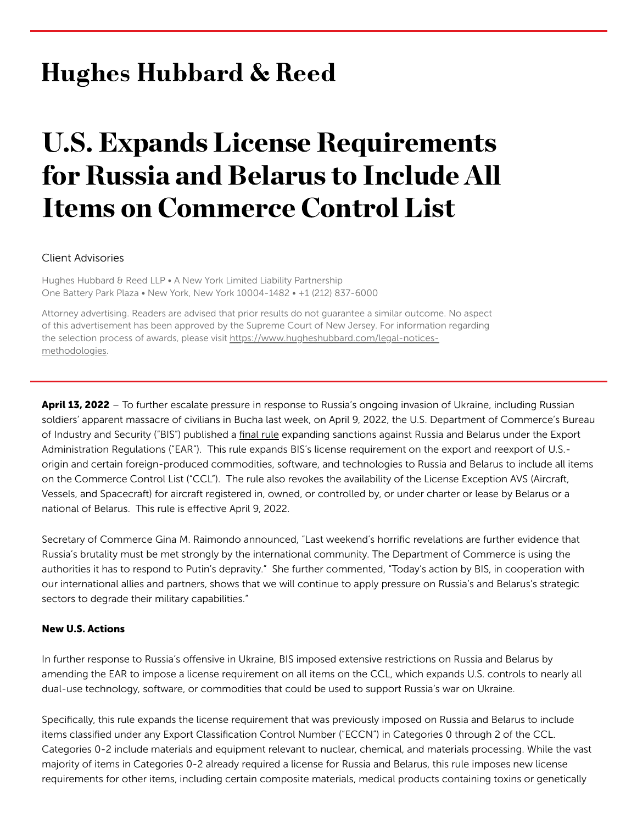# **Hughes Hubbard & Reed**

# U.S. Expands License Requirements for Russia and Belarus to Include All Items on Commerce Control List

#### Client Advisories

Hughes Hubbard & Reed LLP . A New York Limited Liability Partnership One Battery Park Plaza • New York, New York 10004-1482 • +1 (212) 837-6000

Attorney advertising. Readers are advised that prior results do not guarantee a similar outcome. No aspect of this advertisement has been approved by the Supreme Court of New Jersey. For information regarding the selection process of awards, please visit [https://www.hugheshubbard.com/legal-notices](https://www.hugheshubbard.com/legal-notices-methodologies)methodologies.

April 13, 2022 – To further escalate pressure in response to Russia's ongoing invasion of Ukraine, including Russian soldiers' apparent massacre of civilians in Bucha last week, on April 9, 2022, the U.S. Department of Commerce's Bureau of Industry and Security ("BIS") published a [final](https://www.bis.doc.gov/index.php/documents/federal-register-notices-1/2956-expansion-russia-belarus-rin0694ai83-pubinspeffec4822-2022-07937/file) rule expanding sanctions against Russia and Belarus under the Export Administration Regulations ("EAR"). This rule expands BIS's license requirement on the export and reexport of U.S. origin and certain foreign-produced commodities, software, and technologies to Russia and Belarus to include all items on the Commerce Control List ("CCL"). The rule also revokes the availability of the License Exception AVS (Aircraft, Vessels, and Spacecraft) for aircraft registered in, owned, or controlled by, or under charter or lease by Belarus or a national of Belarus. This rule is effective April 9, 2022.

Secretary of Commerce Gina M. Raimondo announced, "Last weekend's horrific revelations are further evidence that Russia's brutality must be met strongly by the international community. The Department of Commerce is using the authorities it has to respond to Putin's depravity." She further commented, "Today's action by BIS, in cooperation with our international allies and partners, shows that we will continue to apply pressure on Russia's and Belarus's strategic sectors to degrade their military capabilities."

#### New U.S. Actions

In further response to Russia's offensive in Ukraine, BIS imposed extensive restrictions on Russia and Belarus by amending the EAR to impose a license requirement on all items on the CCL, which expands U.S. controls to nearly all dual-use technology, software, or commodities that could be used to support Russia's war on Ukraine.

Specifically, this rule expands the license requirement that was previously imposed on Russia and Belarus to include items classified under any Export Classification Control Number ("ECCN") in Categories 0 through 2 of the CCL. Categories 0-2 include materials and equipment relevant to nuclear, chemical, and materials processing. While the vast majority of items in Categories 0-2 already required a license for Russia and Belarus, this rule imposes new license requirements for other items, including certain composite materials, medical products containing toxins or genetically